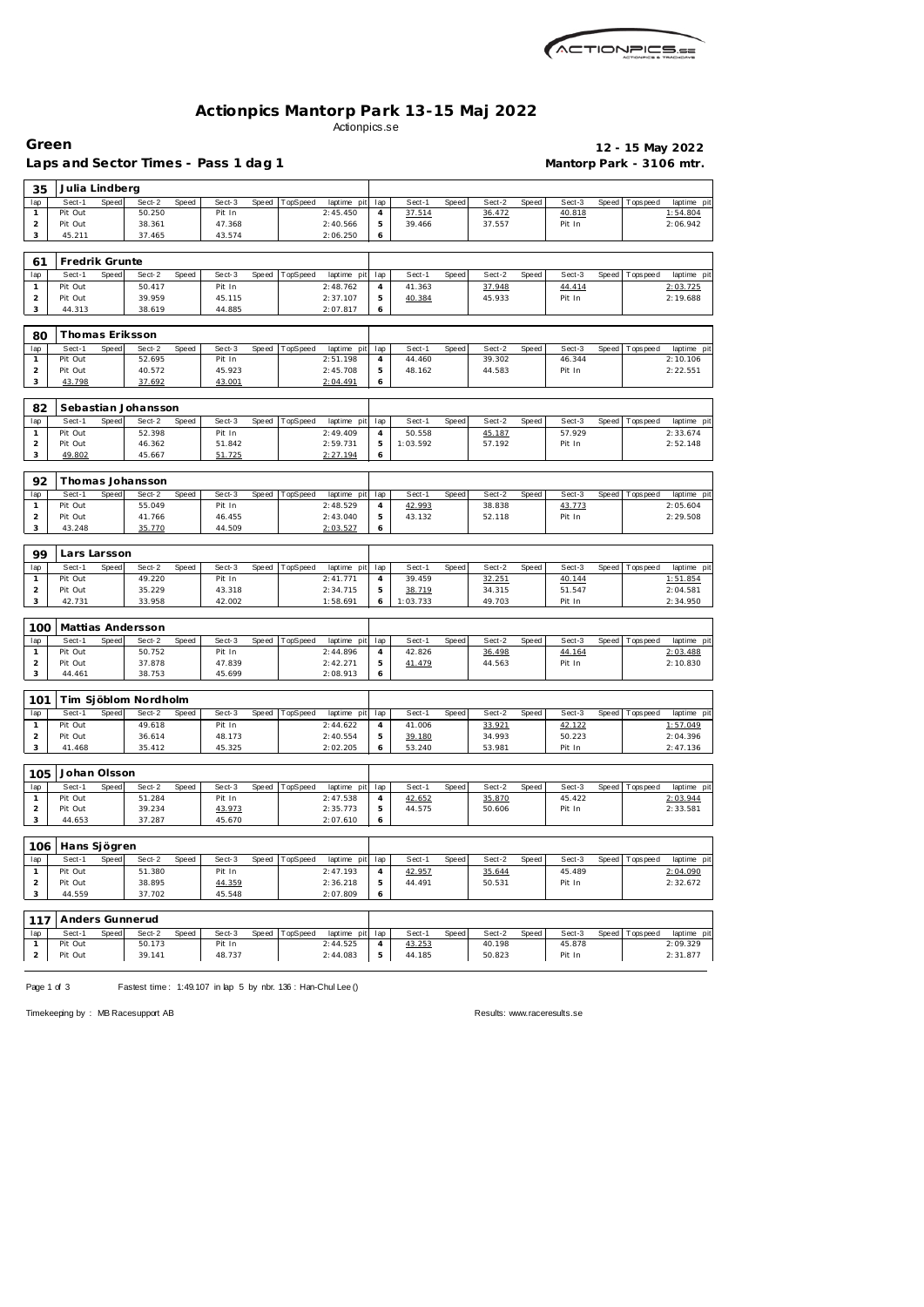| <i>ACTIONPICS.se</i> |
|----------------------|
|                      |

## **Actionpics Mantorp Park 13-15 Maj 2022** Actionpics.se

| Green                          |                          |       |                                      |              |                  |       |                |                             |                |                  |       |                  |       |                          |       |                   | 12 - 15 May 2022        |
|--------------------------------|--------------------------|-------|--------------------------------------|--------------|------------------|-------|----------------|-----------------------------|----------------|------------------|-------|------------------|-------|--------------------------|-------|-------------------|-------------------------|
|                                |                          |       | Laps and Sector Times - Pass 1 dag 1 |              |                  |       |                |                             |                |                  |       |                  |       | Mantorp Park - 3106 mtr. |       |                   |                         |
| 35<br>lap                      | Julia Lindberg<br>Sect-1 | Speed | Sect-2                               | Speed        | Sect-3           | Speed | TopSpeed       | laptime pit                 | lap            | Sect-1           | Speed | Sect-2           | Speed | Sect-3                   | Speed | T ops pee d       | laptime pi              |
| 1                              | Pit Out                  |       | 50.250                               |              | Pit In           |       |                | 2:45.450                    | 4              | 37.514           |       | 36.472           |       | 40.818                   |       |                   | 1:54.804                |
| $\overline{2}$                 | Pit Out                  |       | 38.361                               |              | 47.368           |       |                | 2:40.566                    | 5              | 39.466           |       | 37.557           |       | Pit In                   |       |                   | 2:06.942                |
| 3                              | 45.211                   |       | 37.465                               |              | 43.574           |       |                | 2:06.250                    | 6              |                  |       |                  |       |                          |       |                   |                         |
| 61                             | Fredrik Grunte           |       |                                      |              |                  |       |                |                             |                |                  |       |                  |       |                          |       |                   |                         |
| lap                            | Sect-1                   | Speed | Sect-2                               | Speed        | Sect-3           | Speed | TopSpeed       | laptime pit                 | lap            | Sect-1           | Speed | Sect-2           | Speed | Sect-3                   | Speed | T ops pee d       | laptime pi              |
| $\mathbf{1}$                   | Pit Out                  |       | 50.417                               |              | Pit In           |       |                | 2:48.762                    | $\overline{4}$ | 41.363           |       | 37.948           |       | 44.414                   |       |                   | 2:03.725                |
| 2<br>3                         | Pit Out<br>44.313        |       | 39.959<br>38.619                     |              | 45.115<br>44.885 |       |                | 2:37.107<br>2:07.817        | 5<br>6         | 40.384           |       | 45.933           |       | Pit In                   |       |                   | 2:19.688                |
| 80                             |                          |       | Thomas Eriksson                      |              |                  |       |                |                             |                |                  |       |                  |       |                          |       |                   |                         |
| lap                            | Sect-1                   | Speed | Sect-2                               | Speed        | Sect-3           | Speed | TopSpeed       | laptime pit                 | lap            | Sect-1           | Speed | Sect-2           | Speed | Sect-3                   | Speed | Tops peed         | laptime pi              |
| $\mathbf{1}$                   | Pit Out                  |       | 52.695                               |              | Pit In           |       |                | 2:51.198                    | 4              | 44.460           |       | 39.302           |       | 46.344                   |       |                   | 2:10.106                |
| $\overline{2}$                 | Pit Out                  |       | 40.572                               |              | 45.923           |       |                | 2:45.708                    | 5              | 48.162           |       | 44.583           |       | Pit In                   |       |                   | 2:22.551                |
| 3                              | 43.798                   |       | 37.692                               |              | 43.001           |       |                | 2:04.491                    | 6              |                  |       |                  |       |                          |       |                   |                         |
| 82                             |                          |       | Sebastian Johansson                  |              |                  |       |                |                             |                |                  |       |                  |       |                          |       |                   |                         |
| lap                            | Sect-1                   | Speed | Sect-2                               | <b>Speed</b> | Sect-3           | Speed | TopSpeed       | laptime pit                 | lap            | Sect-1           | Speed | Sect-2           | Speed | Sect-3                   | Speed | T ops peed        | laptime pi              |
| $\mathbf{1}$                   | Pit Out                  |       | 52.398                               |              | Pit In           |       |                | 2:49.409                    | 4              | 50.558           |       | 45.187           |       | 57.929                   |       |                   | 2:33.674                |
| $\overline{2}$<br>3            | Pit Out<br>49.802        |       | 46.362<br>45.667                     |              | 51.842<br>51.725 |       |                | 2:59.731<br>2:27.194        | 5<br>6         | 1:03.592         |       | 57.192           |       | Pit In                   |       |                   | 2:52.148                |
|                                |                          |       |                                      |              |                  |       |                |                             |                |                  |       |                  |       |                          |       |                   |                         |
| 92                             |                          |       | Thomas Johansson                     |              |                  |       |                |                             |                |                  |       |                  |       |                          |       |                   |                         |
| lap                            | Sect-1                   | Speed | Sect-2                               | Speed        | Sect-3           |       | Speed TopSpeed | laptime pit                 | lap            | Sect-1           | Speed | Sect-2           | Speed | Sect-3                   |       | Speed   Tops peed | laptime pi              |
| $\mathbf{1}$<br>$\overline{2}$ | Pit Out<br>Pit Out       |       | 55.049<br>41.766                     |              | Pit In<br>46.455 |       |                | 2:48.529<br>2:43.040        | 4<br>5         | 42.993<br>43.132 |       | 38.838<br>52.118 |       | 43.773<br>Pit In         |       |                   | 2:05.604<br>2:29.508    |
| 3                              | 43.248                   |       | 35.770                               |              | 44.509           |       |                | 2:03.527                    | 6              |                  |       |                  |       |                          |       |                   |                         |
|                                |                          |       |                                      |              |                  |       |                |                             |                |                  |       |                  |       |                          |       |                   |                         |
| 99<br>lap                      | Lars Larsson<br>Sect-1   | Speed | Sect-2                               | Speed        | Sect-3           | Speed | TopSpeed       | laptime pit                 | lap            | Sect-1           | Speed | Sect-2           | Speed | Sect-3                   | Speed | Tops peed         | laptime pi              |
| $\mathbf{1}$                   | Pit Out                  |       | 49.220                               |              | Pit In           |       |                | 2:41.771                    | 4              | 39.459           |       | 32.251           |       | 40.144                   |       |                   | 1:51.854                |
| $\overline{2}$                 | Pit Out                  |       | 35.229                               |              | 43.318           |       |                | 2:34.715                    | 5              | 38.719           |       | 34.315           |       | 51.547                   |       |                   | 2:04.581                |
| 3                              | 42.731                   |       | 33.958                               |              | 42.002           |       |                | 1:58.691                    | 6              | 1:03.733         |       | 49.703           |       | Pit In                   |       |                   | 2:34.950                |
| 100                            |                          |       | Mattias Andersson                    |              |                  |       |                |                             |                |                  |       |                  |       |                          |       |                   |                         |
| lap                            | Sect-1                   | Speed | Sect-2                               | Speed        | Sect-3           | Speed | TopSpeed       | laptime pit                 | lap            | Sect-1           | Speed | Sect-2           | Speed | Sect-3                   | Speed | T ops pee d       | laptime pi              |
| $\mathbf{1}$                   | Pit Out                  |       | 50.752                               |              | Pit In           |       |                | 2:44.896                    | 4              | 42.826           |       | 36.498           |       | 44.164                   |       |                   | 2:03.488                |
| $\overline{2}$<br>3            | Pit Out                  |       | 37.878<br>38.753                     |              | 47.839<br>45.699 |       |                | 2:42.271<br>2:08.913        | 5              | 41.479           |       | 44.563           |       | Pit In                   |       |                   | 2:10.830                |
|                                | 44.461                   |       |                                      |              |                  |       |                |                             | 6              |                  |       |                  |       |                          |       |                   |                         |
| 101                            |                          |       | Tim Sjöblom Nordholm                 |              |                  |       |                |                             |                |                  |       |                  |       |                          |       |                   |                         |
| lap<br>$\mathbf{1}$            | Sect-1<br>Pit Out        | Speed | Sect-2<br>49.618                     | Speed        | Sect-3           | Speed | TopSpeed       | laptime pit                 | lap            | Sect-1<br>41.006 | Speed | Sect-2           | Speed | Sect-3                   | Speed | Tops peed         | laptime pi<br>1:57.049  |
| $\overline{2}$                 | Pit Out                  |       | 36.614                               |              | Pit In<br>48.173 |       |                | 2:44.622<br>2:40.554        | 4<br>5         | 39.180           |       | 33.921<br>34.993 |       | 42.122<br>50.223         |       |                   | 2:04.396                |
| 3                              | 41.468                   |       | 35.412                               |              | 45.325           |       |                | 2:02.205                    | 6              | 53.240           |       | 53.981           |       | Pit In                   |       |                   | 2:47.136                |
|                                | Johan Olsson             |       |                                      |              |                  |       |                |                             |                |                  |       |                  |       |                          |       |                   |                         |
| 105<br>lap                     | Sect-1                   | Speed | Sect-2                               | Speed        | Sect-3           | Speed | TopSpeed       | laptime pit                 | lap            | Sect-1           | Speed | Sect-2           | Speed | Sect-3                   | Speed | <b>Topspeed</b>   | laptime pi              |
| $\mathbf{1}$                   | Pit Out                  |       | 51.284                               |              | Pit In           |       |                | 2:47.538                    | 4              | 42.652           |       | 35.870           |       | 45.422                   |       |                   | 2:03.944                |
| $\overline{2}$                 | Pit Out                  |       | 39.234                               |              | 43.973           |       |                | 2:35.773                    | 5              | 44.575           |       | 50.606           |       | Pit In                   |       |                   | 2:33.581                |
| 3                              | 44.653                   |       | 37.287                               |              | 45.670           |       |                | 2:07.610                    | 6              |                  |       |                  |       |                          |       |                   |                         |
| 106                            | Hans Sjögren             |       |                                      |              |                  |       |                |                             |                |                  |       |                  |       |                          |       |                   |                         |
| lap                            | Sect-1                   | Speed | Sect-2                               | Speed        | Sect-3           | Speed | TopSpeed       | laptime pit                 | lap            | Sect-1           | Speed | Sect-2           | Speed | Sect-3                   |       | Speed   Topspeed  | laptime pi              |
| $\mathbf{1}$                   | Pit Out                  |       | 51.380                               |              | Pit In           |       |                | 2:47.193                    | $\overline{4}$ | 42.957           |       | 35.644           |       | 45.489                   |       |                   | 2:04.090                |
| $\overline{2}$<br>3            | Pit Out<br>44.559        |       | 38.895<br>37.702                     |              | 44.359<br>45.548 |       |                | 2:36.218<br>2:07.809        | 5<br>6         | 44.491           |       | 50.531           |       | Pit In                   |       |                   | 2:32.672                |
|                                |                          |       |                                      |              |                  |       |                |                             |                |                  |       |                  |       |                          |       |                   |                         |
| 117                            |                          |       | Anders Gunnerud                      |              |                  |       |                |                             |                |                  |       |                  |       |                          |       |                   |                         |
| lap<br>$\mathbf{1}$            | Sect-1<br>Pit Out        | Speed | Sect-2<br>50.173                     | Speed        | Sect-3<br>Pit In | Speed | TopSpeed       | laptime pit lap<br>2:44.525 | 4              | Sect-1<br>43.253 | Speed | Sect-2<br>40.198 | Speed | Sect-3<br>45.878         | Speed | Topspeed          | laptime pit<br>2:09.329 |
| $\overline{2}$                 | Pit Out                  |       | 39.141                               |              | 48.737           |       |                | 2:44.083                    | 5              | 44.185           |       | 50.823           |       | Pit In                   |       |                   | 2:31.877                |
|                                |                          |       |                                      |              |                  |       |                |                             |                |                  |       |                  |       |                          |       |                   |                         |

Page 1 of 3 Fastest time: 1:49.107 in lap 5 by nbr. 136 : Han-Chul Lee ()

Timekeeping by : MB Racesupport AB Results:<www.raceresults.se>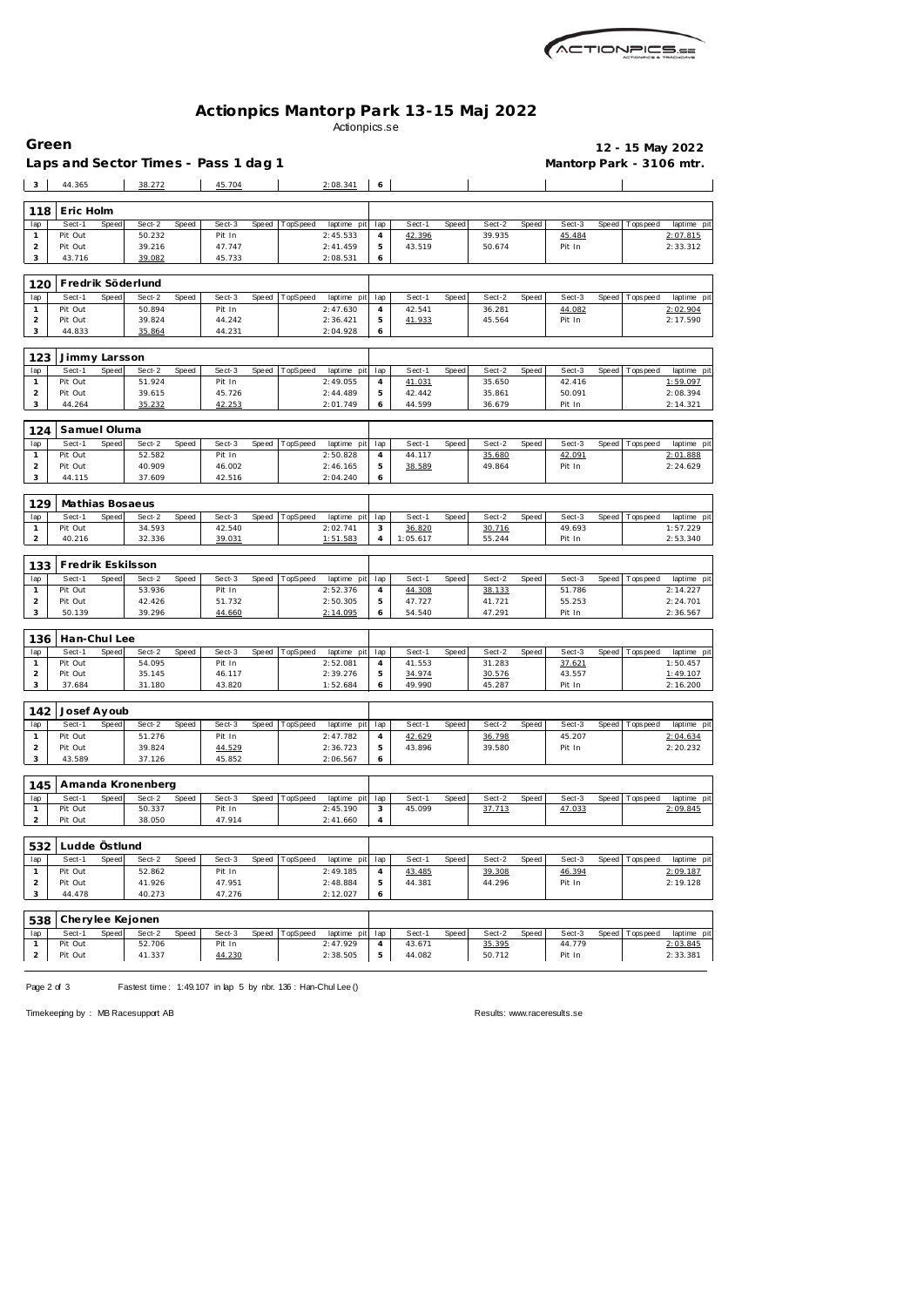

## **Actionpics Mantorp Park 13-15 Maj 2022** Actionpics.se

| Green                          |                         |       |                                      |       |                  |       |          |                         |                       |                  |              |                  |       |                          |       |                   | 12 - 15 May 2022        |
|--------------------------------|-------------------------|-------|--------------------------------------|-------|------------------|-------|----------|-------------------------|-----------------------|------------------|--------------|------------------|-------|--------------------------|-------|-------------------|-------------------------|
|                                |                         |       | Laps and Sector Times - Pass 1 dag 1 |       |                  |       |          |                         |                       |                  |              |                  |       | Mantorp Park - 3106 mtr. |       |                   |                         |
| $\overline{\mathbf{3}}$        | 44.365                  |       | 38.272                               |       | 45.704           |       |          | 2:08.341                | 6                     |                  |              |                  |       |                          |       |                   |                         |
|                                |                         |       |                                      |       |                  |       |          |                         |                       |                  |              |                  |       |                          |       |                   |                         |
| 118                            | Eric Holm               |       |                                      |       |                  |       |          |                         |                       |                  |              |                  |       |                          |       |                   |                         |
| lap<br>$\mathbf{1}$            | Sect-1<br>Pit Out       | Speed | Sect-2<br>50.232                     | Speed | Sect-3<br>Pit In | Speed | TopSpeed | laptime pit<br>2:45.533 | lap<br>4              | Sect-1<br>42.396 | <b>Speed</b> | Sect-2<br>39.935 | Speed | Sect-3<br>45.484         |       | Speed   Tops peed | laptime pit<br>2:07.815 |
| $\overline{c}$                 | Pit Out                 |       | 39.216                               |       | 47.747           |       |          | 2:41.459                | 5                     | 43.519           |              | 50.674           |       | Pit In                   |       |                   | 2:33.312                |
| 3                              | 43.716                  |       | 39.082                               |       | 45.733           |       |          | 2:08.531                | 6                     |                  |              |                  |       |                          |       |                   |                         |
|                                |                         |       |                                      |       |                  |       |          |                         |                       |                  |              |                  |       |                          |       |                   |                         |
| 120                            |                         |       | Fredrik Söderlund                    |       |                  |       |          |                         |                       |                  |              |                  |       |                          |       |                   |                         |
| lap<br>$\mathbf{1}$            | Sect-1<br>Pit Out       | Speed | Sect-2<br>50.894                     | Speed | Sect-3<br>Pit In | Speed | TopSpeed | laptime pit<br>2:47.630 | lap<br>$\overline{4}$ | Sect-1<br>42.541 | Speed        | Sect-2<br>36.281 | Speed | Sect-3<br>44.082         | Speed | Tops pee d        | laptime pit<br>2:02.904 |
| $\overline{c}$                 | Pit Out                 |       | 39.824                               |       | 44.242           |       |          | 2:36.421                | 5                     | 41.933           |              | 45.564           |       | Pit In                   |       |                   | 2:17.590                |
| 3                              | 44.833                  |       | 35.864                               |       | 44.231           |       |          | 2:04.928                | 6                     |                  |              |                  |       |                          |       |                   |                         |
|                                |                         |       |                                      |       |                  |       |          |                         |                       |                  |              |                  |       |                          |       |                   |                         |
| 123                            | Jimmy Larsson<br>Sect-1 | Speed | Sect-2                               | Speed | Sect-3           | Speed | TopSpeed | laptime pit             | lap                   | Sect-1           | <b>Speed</b> | Sect-2           | Speed | Sect-3                   | Speed | Tops peed         | laptime pit             |
| lap<br>$\mathbf{1}$            | Pit Out                 |       | 51.924                               |       | Pit In           |       |          | 2:49.055                | 4                     | 41.031           |              | 35.650           |       | 42.416                   |       |                   | 1:59.097                |
| $\overline{c}$                 | Pit Out                 |       | 39.615                               |       | 45.726           |       |          | 2:44.489                | 5                     | 42.442           |              | 35.861           |       | 50.091                   |       |                   | 2:08.394                |
| 3                              | 44.264                  |       | 35.232                               |       | 42.253           |       |          | 2:01.749                | 6                     | 44.599           |              | 36.679           |       | Pit In                   |       |                   | 2:14.321                |
| 124                            | Samuel Oluma            |       |                                      |       |                  |       |          |                         |                       |                  |              |                  |       |                          |       |                   |                         |
| lap                            | Sect-1                  | Speed | Sect-2                               | Speed | Sect-3           | Speed | TopSpeed | laptime pit             | lap                   | Sect-1           | Speed        | Sect-2           | Speed | Sect-3                   | Speed | T ops pee d       | laptime pit             |
| $\mathbf{1}$                   | Pit Out                 |       | 52.582                               |       | Pit In           |       |          | 2:50.828                | 4                     | 44.117           |              | 35.680           |       | 42.091                   |       |                   | 2:01.888                |
| $\overline{c}$                 | Pit Out                 |       | 40.909                               |       | 46.002           |       |          | 2:46.165                | 5                     | 38.589           |              | 49.864           |       | Pit In                   |       |                   | 2:24.629                |
| 3                              | 44.115                  |       | 37.609                               |       | 42.516           |       |          | 2:04.240                | 6                     |                  |              |                  |       |                          |       |                   |                         |
| 129                            | Mathias Bosaeus         |       |                                      |       |                  |       |          |                         |                       |                  |              |                  |       |                          |       |                   |                         |
| lap                            | Sect-1                  | Speed | Sect-2                               | Speed | Sect-3           | Speed | TopSpeed | laptime pit             | lap                   | Sect-1           | Speed        | Sect-2           | Speed | Sect-3                   | Speed | Tops peed         | laptime pit             |
| 1                              | Pit Out                 |       | 34.593                               |       | 42.540           |       |          | 2:02.741                | 3                     | 36.820           |              | 30.716           |       | 49.693                   |       |                   | 1:57.229                |
| 2                              | 40.216                  |       | 32.336                               |       | 39.031           |       |          | 1:51.583                | $\overline{4}$        | 1:05.617         |              | 55.244           |       | Pit In                   |       |                   | 2:53.340                |
| 133                            | Fredrik Eskilsson       |       |                                      |       |                  |       |          |                         |                       |                  |              |                  |       |                          |       |                   |                         |
| lap                            | Sect-1                  | Speed | Sect-2                               | Speed | Sect-3           | Speed | TopSpeed | laptime pit             | lap                   | Sect-1           | <b>Speed</b> | Sect-2           | Speed | Sect-3                   | Speed | Tops pee d        | laptime pit             |
| $\mathbf{1}$                   | Pit Out                 |       | 53.936                               |       | Pit In           |       |          | 2:52.376                | 4                     | 44.308           |              | 38.133           |       | 51.786                   |       |                   | 2:14.227                |
| $\overline{c}$                 | Pit Out                 |       | 42.426                               |       | 51.732           |       |          | 2:50.305                | 5                     | 47.727           |              | 41.721           |       | 55.253                   |       |                   | 2:24.701                |
| 3                              | 50.139                  |       | 39.296                               |       | 44.660           |       |          | 2:14.095                | 6                     | 54.540           |              | 47.291           |       | Pit In                   |       |                   | 2:36.567                |
| 136                            | Han-Chul Lee            |       |                                      |       |                  |       |          |                         |                       |                  |              |                  |       |                          |       |                   |                         |
| lap                            | Sect-1                  | Speed | Sect-2                               | Speed | Sect-3           | Speed | TopSpeed | laptime pit             | lap                   | Sect-1           | Speed        | Sect-2           | Speed | Sect-3                   | Speed | Tops peed         | laptime pit             |
| $\mathbf{1}$                   | Pit Out                 |       | 54.095                               |       | Pit In           |       |          | 2:52.081                | 4                     | 41.553           |              | 31.283           |       | 37.621                   |       |                   | 1:50.457                |
| $\overline{c}$                 | Pit Out                 |       | 35.145                               |       | 46.117           |       |          | 2:39.276                | 5                     | 34.974           |              | 30.576           |       | 43.557                   |       |                   | 1:49.107                |
| 3                              | 37.684                  |       | 31.180                               |       | 43.820           |       |          | 1:52.684                | 6                     | 49.990           |              | 45.287           |       | Pit In                   |       |                   | 2:16.200                |
| 142                            | Josef Ayoub             |       |                                      |       |                  |       |          |                         |                       |                  |              |                  |       |                          |       |                   |                         |
| lap                            | Sect-1                  | Speed | Sect-2                               | Speed | Sect-3           | Speed | TopSpeed | laptime pit             | lap                   | Sect-1           | Speed        | Sect-2           | Speed | Sect-3                   | Speed | T ops pee d       | laptime pit             |
| $\mathbf{1}$                   | Pit Out                 |       | 51.276                               |       | Pit In           |       |          | 2:47.782                | 4                     | 42.629           |              | 36.798           |       | 45.207                   |       |                   | 2:04.634                |
| $\overline{a}$                 | Pit Out                 |       | 39.824                               |       | 44.529           |       |          | 2:36.723                | 5                     | 43.896           |              | 39.580           |       | Pit In                   |       |                   | 2:20.232                |
| 3                              | 43.589                  |       | 37.126                               |       | 45.852           |       |          | 2:06.567                | 6                     |                  |              |                  |       |                          |       |                   |                         |
| 145                            |                         |       | Amanda Kronenberg                    |       |                  |       |          |                         |                       |                  |              |                  |       |                          |       |                   |                         |
| lap                            | Sect-1                  | Speed | Sect-2                               | Speed | Sect-3           | Speed | TopSpeed | laptime pit             | lap                   | Sect-1           | Speed        | Sect-2           | Speed | Sect-3                   |       | Speed Topspeed    | laptime pit             |
| $\mathbf{1}$                   | Pit Out                 |       | 50.337                               |       | Pit In           |       |          | 2:45.190                | 3                     | 45.099           |              | 37.713           |       | 47.033                   |       |                   | 2:09.845                |
| $\overline{a}$                 | Pit Out                 |       | 38.050                               |       | 47.914           |       |          | 2:41.660                | 4                     |                  |              |                  |       |                          |       |                   |                         |
| 532                            | Ludde Östlund           |       |                                      |       |                  |       |          |                         |                       |                  |              |                  |       |                          |       |                   |                         |
| lap                            | Sect-1                  | Speed | Sect-2                               | Speed | Sect-3           | Speed | TopSpeed | laptime pit             | lap                   | Sect-1           | Speed        | Sect-2           | Speed | Sect-3                   | Speed | Tops pee d        | laptime pit             |
|                                |                         |       |                                      |       | Pit In           |       |          | 2:49.185                | 4                     | 43.485           |              | 39.308           |       | 46.394                   |       |                   | 2:09.187                |
| $\mathbf{1}$                   | Pit Out                 |       | 52.862                               |       |                  |       |          |                         |                       |                  |              |                  |       |                          |       |                   |                         |
| $\overline{a}$                 | Pit Out                 |       | 41.926                               |       | 47.951           |       |          | 2:48.884                | 5                     | 44.381           |              | 44.296           |       | Pit In                   |       |                   | 2:19.128                |
| 3                              | 44.478                  |       | 40.273                               |       | 47.276           |       |          | 2:12.027                | 6                     |                  |              |                  |       |                          |       |                   |                         |
| 538                            | Cherylee Kejonen        |       |                                      |       |                  |       |          |                         |                       |                  |              |                  |       |                          |       |                   |                         |
| lap                            | Sect-1                  | Speed | Sect-2                               | Speed | Sect-3           | Speed | TopSpeed | laptime pit             | lap                   | Sect-1           | Speed        | Sect-2           | Speed | Sect-3                   | Speed | Tops pee d        | laptime pit             |
| $\mathbf{1}$<br>$\overline{2}$ | Pit Out<br>Pit Out      |       | 52.706<br>41.337                     |       | Pit In<br>44.230 |       |          | 2:47.929<br>2:38.505    | 4<br>5                | 43.671<br>44.082 |              | 35.395<br>50.712 |       | 44.779<br>Pit In         |       |                   | 2:03.845<br>2:33.381    |

Page 2 of 3 Fastest time: 1:49.107 in lap 5 by nbr. 136 : Han-Chul Lee ()

Timekeeping by : MB Racesupport AB Results:<www.raceresults.se>